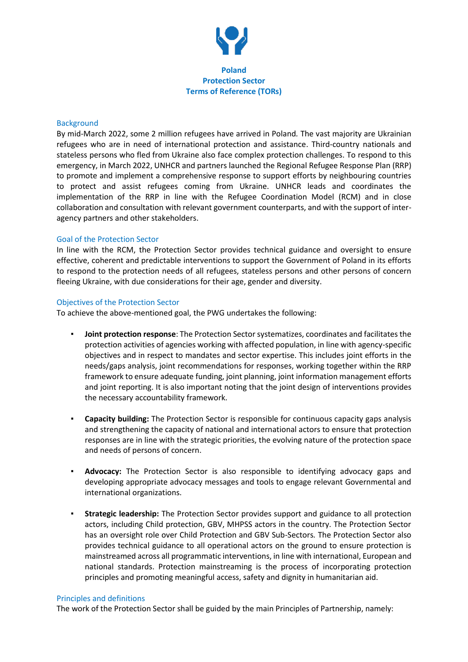

#### **Background**

By mid-March 2022, some 2 million refugees have arrived in Poland*.* The vast majority are Ukrainian refugees who are in need of international protection and assistance. Third-country nationals and stateless persons who fled from Ukraine also face complex protection challenges. To respond to this emergency, in March 2022, UNHCR and partners launched the Regional Refugee Response Plan (RRP) to promote and implement a comprehensive response to support efforts by neighbouring countries to protect and assist refugees coming from Ukraine. UNHCR leads and coordinates the implementation of the RRP in line with the Refugee Coordination Model (RCM) and in close collaboration and consultation with relevant government counterparts, and with the support of interagency partners and other stakeholders.

#### Goal of the Protection Sector

In line with the RCM, the Protection Sector provides technical guidance and oversight to ensure effective, coherent and predictable interventions to support the Government of Poland in its efforts to respond to the protection needs of all refugees, stateless persons and other persons of concern fleeing Ukraine, with due considerations for their age, gender and diversity.

#### Objectives of the Protection Sector

To achieve the above-mentioned goal, the PWG undertakes the following:

- **Joint protection response**: The Protection Sector systematizes, coordinates and facilitates the protection activities of agencies working with affected population, in line with agency-specific objectives and in respect to mandates and sector expertise. This includes joint efforts in the needs/gaps analysis, joint recommendations for responses, working together within the RRP framework to ensure adequate funding, joint planning, joint information management efforts and joint reporting. It is also important noting that the joint design of interventions provides the necessary accountability framework.
- **Capacity building:** The Protection Sector is responsible for continuous capacity gaps analysis and strengthening the capacity of national and international actors to ensure that protection responses are in line with the strategic priorities, the evolving nature of the protection space and needs of persons of concern.
- **Advocacy:** The Protection Sector is also responsible to identifying advocacy gaps and developing appropriate advocacy messages and tools to engage relevant Governmental and international organizations.
- **Strategic leadership:** The Protection Sector provides support and guidance to all protection actors, including Child protection, GBV, MHPSS actors in the country. The Protection Sector has an oversight role over Child Protection and GBV Sub-Sectors*.* The Protection Sector also provides technical guidance to all operational actors on the ground to ensure protection is mainstreamed across all programmatic interventions, in line with international, European and national standards. Protection mainstreaming is the process of incorporating protection principles and promoting meaningful access, safety and dignity in humanitarian aid.

#### Principles and definitions

The work of the Protection Sector shall be guided by the main Principles of Partnership, namely: